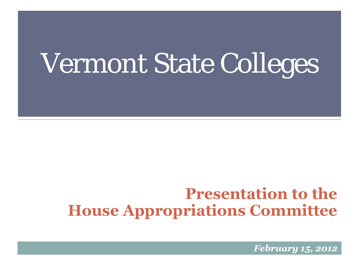# Vermont State Colleges

#### **Presentation to the House Appropriations Committee**

*February 15, 2012*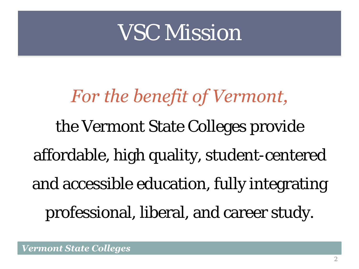### VSC Mission

# *For the benefit of Vermont,*  the Vermont State Colleges provide affordable, high quality, student-centered and accessible education, fully integrating professional, liberal, and career study.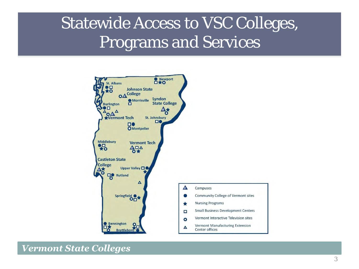#### Statewide Access to VSC Colleges, Programs and Services

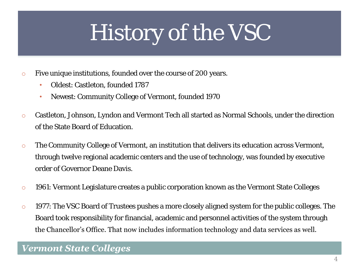## History of the VSC

- o Five unique institutions, founded over the course of 200 years.
	- Oldest: Castleton, founded 1787
	- Newest: Community College of Vermont, founded 1970
- o Castleton, Johnson, Lyndon and Vermont Tech all started as Normal Schools, under the direction of the State Board of Education.
- o The Community College of Vermont, an institution that delivers its education across Vermont, through twelve regional academic centers and the use of technology, was founded by executive order of Governor Deane Davis.
- o 1961: Vermont Legislature creates a public corporation known as the Vermont State Colleges
- o 1977: The VSC Board of Trustees pushes a more closely aligned system for the public colleges. The Board took responsibility for financial, academic and personnel activities of the system through the Chancellor's Office. That now includes information technology and data services as well.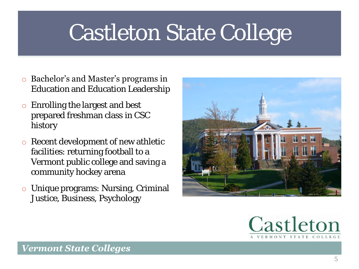### Castleton State College

- o Bachelor's and Master's programs in Education and Education Leadership
- o Enrolling the largest and best prepared freshman class in CSC history
- o Recent development of new athletic facilities: returning football to a Vermont public college and saving a community hockey arena
- o Unique programs: Nursing, Criminal Justice, Business, Psychology



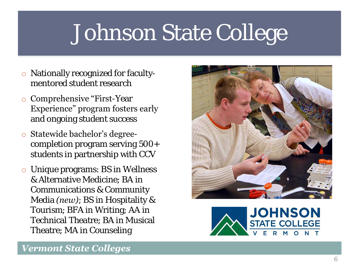### Johnson State College

- o Nationally recognized for facultymentored student research
- o Comprehensive "First-Year Experience" program fosters early and ongoing student success
- o Statewide bachelor's degreecompletion program serving 500+ students in partnership with CCV
- o Unique programs: BS in Wellness & Alternative Medicine; BA in Communications & Community Media *(new)*; BS in Hospitality & Tourism; BFA in Writing; AA in Technical Theatre; BA in Musical Theatre; MA in Counseling



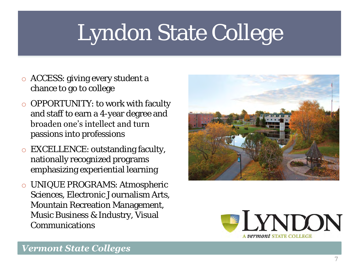## Lyndon State College

- o ACCESS: giving every student a chance to go to college
- o OPPORTUNITY: to work with faculty and staff to earn a 4-year degree and broaden one's intellect and turn passions into professions
- o EXCELLENCE: outstanding faculty, nationally recognized programs emphasizing experiential learning
- o UNIQUE PROGRAMS: Atmospheric Sciences, Electronic Journalism Arts, Mountain Recreation Management, Music Business & Industry, Visual Communications



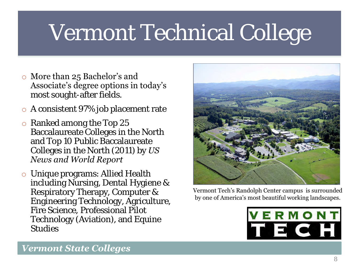## Vermont Technical College

- o More than 25 Bachelor's and Associate's degree options in today's most sought-after fields.
- o A consistent 97% job placement rate
- o Ranked among the Top 25 Baccalaureate Colleges in the North and Top 10 Public Baccalaureate Colleges in the North (2011) by *US News and World Report*
- o Unique programs: Allied Health including Nursing, Dental Hygiene & Respiratory Therapy, Computer & Engineering Technology, Agriculture, Fire Science, Professional Pilot Technology (Aviation), and Equine Studies



Vermont Tech's Randolph Center campus is surrounded by one of America's most beautiful working landscapes.

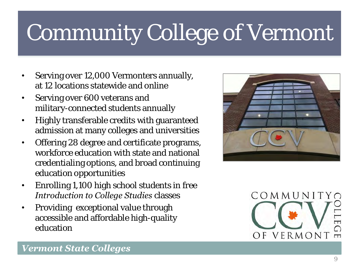## Community College of Vermont

- Serving over 12,000 Vermonters annually, at 12 locations statewide and online
- Serving over 600 veterans and military-connected students annually
- Highly transferable credits with guaranteed admission at many colleges and universities
- Offering 28 degree and certificate programs, workforce education with state and national credentialing options, and broad continuing education opportunities
- Enrolling 1,100 high school students in free *Introduction to College Studies* classes
- Providing exceptional value through accessible and affordable high-quality education



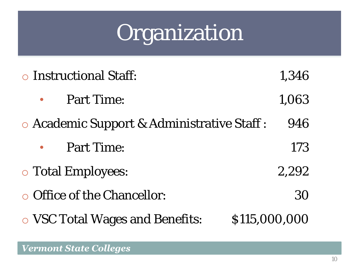### Organization

| o Instructional Staff: |                                            |               |  |  |  |
|------------------------|--------------------------------------------|---------------|--|--|--|
|                        | Part Time:                                 | 1,063         |  |  |  |
|                        | • Academic Support & Administrative Staff: | 946           |  |  |  |
|                        | Part Time:                                 | 173           |  |  |  |
|                        | o Total Employees:                         | 2,292         |  |  |  |
|                        | • Office of the Chancellor:                | 30            |  |  |  |
|                        | o VSC Total Wages and Benefits:            | \$115,000,000 |  |  |  |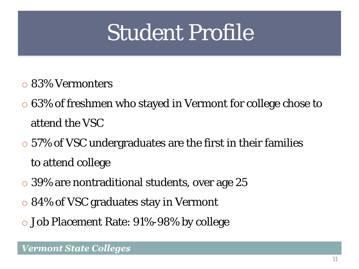### Student Profile

- o 83% Vermonters
- o 63% of freshmen who stayed in Vermont for college chose to attend the VSC
- o 57% of VSC undergraduates are the first in their families to attend college
- o 39% are nontraditional students, over age 25
- o 84% of VSC graduates stay in Vermont
- o Job Placement Rate: 91%-98% by college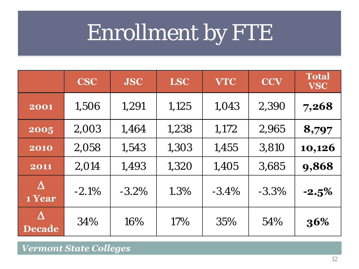## Enrollment by FTE

|                            | <b>CSC</b> | <b>JSC</b> | <b>LSC</b> | <b>VTC</b> | <b>CCV</b> | <b>Total</b><br><b>VSC</b> |
|----------------------------|------------|------------|------------|------------|------------|----------------------------|
| 2001                       | 1,506      | 1,291      | 1,125      | 1,043      | 2,390      | 7,268                      |
| 2005                       | 2,003      | 1,464      | 1,238      | 1,172      | 2,965      | 8,797                      |
| 2010                       | 2,058      | 1,543      | 1,303      | 1,455      | 3,810      | 10,126                     |
| 2011                       | 2,014      | 1,493      | 1,320      | 1,405      | 3,685      | 9,868                      |
| $\Lambda$<br>1 Year        | $-2.1%$    | $-3.2\%$   | 1.3%       | $-3.4\%$   | $-3.3%$    | $-2.5%$                    |
| $\Lambda$<br><b>Decade</b> | 34%        | 16%        | 17%        | 35%        | 54%        | 36%                        |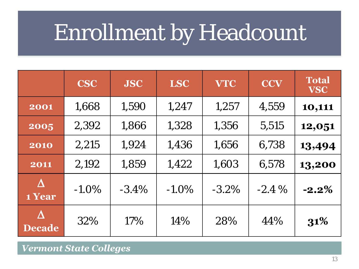### Enrollment by Headcount

|                                        | <b>CSC</b> | <b>JSC</b> | <b>LSC</b> | <b>VTC</b> | <b>CCV</b> | <b>Total</b><br><b>VSC</b> |
|----------------------------------------|------------|------------|------------|------------|------------|----------------------------|
| 2001                                   | 1,668      | 1,590      | 1,247      | 1,257      | 4,559      | 10,111                     |
| 2005                                   | 2,392      | 1,866      | 1,328      | 1,356      | 5,515      | 12,051                     |
| 2010                                   | 2,215      | 1,924      | 1,436      | 1,656      | 6,738      | 13,494                     |
| 2011                                   | 2,192      | 1,859      | 1,422      | 1,603      | 6,578      | 13,200                     |
| $\Delta$<br>1 Year                     | $-1.0\%$   | $-3.4\%$   | $-1.0\%$   | $-3.2\%$   | $-2.4\%$   | $-2.2\%$                   |
| $\boldsymbol{\Delta}$<br><b>Decade</b> | 32%        | 17%        | 14%        | 28%        | 44%        | 31%                        |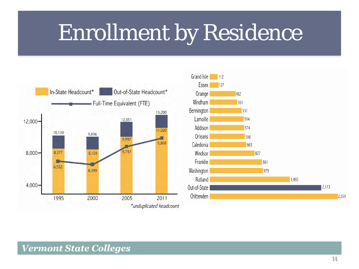### Enrollment by Residence



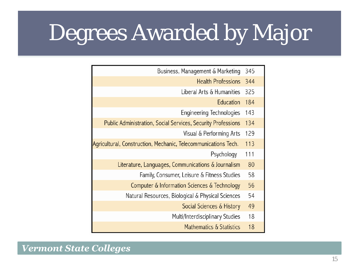## Degrees Awarded by Major

| Business, Management & Marketing                                    | 345 |  |
|---------------------------------------------------------------------|-----|--|
| <b>Health Professions</b>                                           | 344 |  |
| Liberal Arts & Humanities                                           | 325 |  |
| Education                                                           | 184 |  |
| Engineering Technologies                                            | 143 |  |
| <b>Public Administration, Social Services, Security Professions</b> | 134 |  |
| Visual & Performing Arts                                            | 129 |  |
| Agricultural, Construction, Mechanic, Telecommunications Tech.      | 113 |  |
| Psychology                                                          | 111 |  |
| Literature, Languages, Communications & Journalism                  | 80  |  |
| Family, Consumer, Leisure & Fitness Studies                         | 58  |  |
| Computer & Information Sciences & Technology                        | 56  |  |
| Natural Resources, Biological & Physical Sciences                   | 54  |  |
| Social Sciences & History                                           | 49  |  |
| Multi/Interdisciplinary Studies                                     | 18  |  |
| Mathematics & Statistics                                            | 18  |  |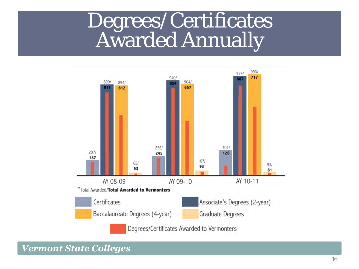#### Degrees/Certificates Awarded Annually

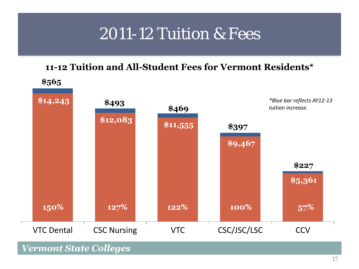#### 2011-12 Tuition & Fees

#### **11-12 Tuition and All-Student Fees for Vermont Residents\***

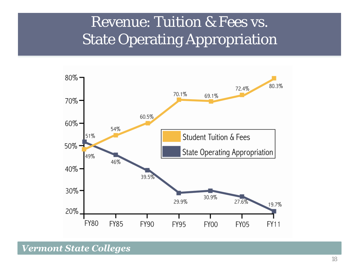#### Revenue: Tuition & Fees vs. State Operating Appropriation

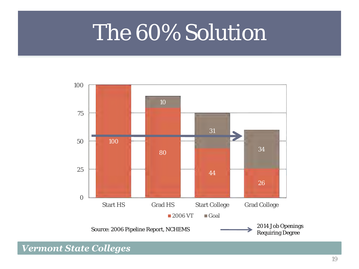### The 60% Solution

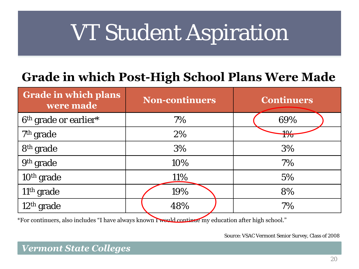## VT Student Aspiration

#### **Grade in which Post-High School Plans Were Made**

| <b>Grade in which plans</b><br>were made | <b>Non-continuers</b> | <b>Continuers</b> |  |
|------------------------------------------|-----------------------|-------------------|--|
| 6 <sup>th</sup> grade or earlier*        | 7%                    | 69%               |  |
| 7 <sup>th</sup> grade                    | 2%                    | $+9/$             |  |
| 8 <sup>th</sup> grade                    | 3%                    | 3%                |  |
| 9th grade                                | 10%                   | 7%                |  |
| 10 <sup>th</sup> grade                   | 11%                   | 5%                |  |
| 11 <sup>th</sup> grade                   | 19%                   | 8%                |  |
| 12 <sup>th</sup> grade                   | 48%                   | 7%                |  |

\*For continuers, also includes "I have always known I would continue my education after high school."

Source: VSAC Vermont Senior Survey, Class of 2008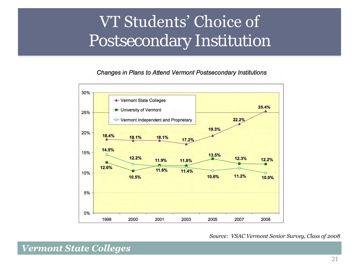#### VT Students' Choice of Postsecondary Institution

#### Changes in Plans to Attend Vermont Postsecondary Institutions



#### *Source: VSAC Vermont Senior Survey, Class of 2008*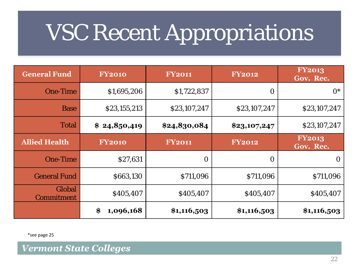### VSC Recent Appropriations

| <b>General Fund</b>  | <b>FY2010</b>   | <b>FY2011</b> | <b>FY2012</b> | <b>FY2013</b><br>Gov. Rec. |
|----------------------|-----------------|---------------|---------------|----------------------------|
| One-Time             | \$1,695,206     | \$1,722,837   | O             | $O^*$                      |
| <b>Base</b>          | \$23,155,213    | \$23,107,247  | \$23,107,247  | \$23,107,247               |
| Total                | \$24,850,419    | \$24,830,084  | \$23,107,247  | \$23,107,247               |
| <b>Allied Health</b> | <b>FY2010</b>   | <b>FY2011</b> | <b>FY2012</b> | <b>FY2013</b><br>Gov. Rec. |
| One-Time             | \$27,631        | $\bigcirc$    | O             | $\bigcirc$                 |
| <b>General Fund</b>  | \$663,130       | \$711,096     | \$711,096     | \$711,096                  |
| Global<br>Commitment | \$405,407       | \$405,407     | \$405,407     | \$405,407                  |
|                      | \$<br>1,096,168 | \$1,116,503   | \$1,116,503   | \$1,116,503                |

\*see page 25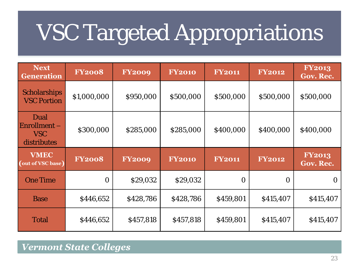## VSC Targeted Appropriations

| <b>Next</b><br><b>Generation</b>          | <b>FY2008</b> | <b>FY2009</b> | <b>FY2010</b> | <b>FY2011</b> | <b>FY2012</b> | <b>FY2013</b><br>Gov. Rec. |
|-------------------------------------------|---------------|---------------|---------------|---------------|---------------|----------------------------|
| Scholarships<br><b>VSC Portion</b>        | \$1,000,000   | \$950,000     | \$500,000     | \$500,000     | \$500,000     | \$500,000                  |
| Dual<br>Enrollment-<br>VSC<br>distributes | \$300,000     | \$285,000     | \$285,000     | \$400,000     | \$400,000     | \$400,000                  |
|                                           |               |               |               |               |               |                            |
| <b>VMEC</b><br>(out of VSC base)          | <b>FY2008</b> | <b>FY2009</b> | <b>FY2010</b> | <b>FY2011</b> | <b>FY2012</b> | <b>FY2013</b><br>Gov. Rec. |
| One Time                                  | $\bigcirc$    | \$29,032      | \$29,032      | $\bigcirc$    | $\bigcirc$    | ( )                        |
| <b>Base</b>                               | \$446,652     | \$428,786     | \$428,786     | \$459,801     | \$415,407     | \$415,407                  |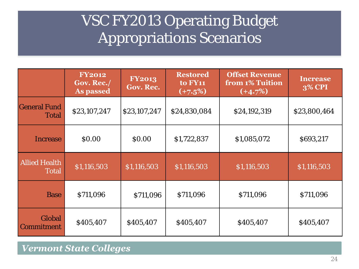#### vocinizoro operating buuget<br>Appropriations Scenarios VSC FY2013 Operating Budget

|                               | <b>FY2012</b><br>Gov. Rec./<br>As passed | <b>FY2013</b><br>Gov. Rec. | <b>Restored</b><br><b>to FY11</b><br>$(+7.5%)$ | <b>Offset Revenue</b><br>from 1% Tuition<br>$(+4.7%)$ | <b>Increase</b><br><b>3% CPI</b> |
|-------------------------------|------------------------------------------|----------------------------|------------------------------------------------|-------------------------------------------------------|----------------------------------|
| <b>General Fund</b><br>Total  | \$23,107,247                             | \$23,107,247               | \$24,830,084                                   | \$24,192,319                                          | \$23,800,464                     |
| Increase                      | \$0.00                                   | \$0.00                     | \$1,722,837                                    | \$1,085,072                                           | \$693,217                        |
| <b>Allied Health</b><br>Total | \$1,116,503                              | \$1,116,503                | \$1,116,503                                    | \$1,116,503                                           | \$1,116,503                      |
| <b>Base</b>                   | \$711,096                                | \$711,096                  | \$711,096                                      | \$711,096                                             | \$711,096                        |
| Global<br>Commitment          | \$405,407                                | \$405,407                  | \$405,407                                      | \$405,407                                             | \$405,407                        |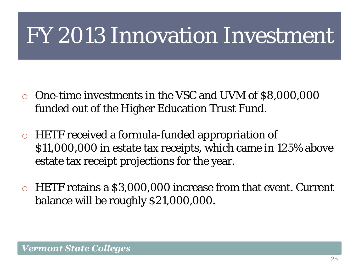### FY 2013 Innovation Investment

- o One-time investments in the VSC and UVM of \$8,000,000 funded out of the Higher Education Trust Fund.
- o HETF received a formula-funded appropriation of \$11,000,000 in estate tax receipts, which came in 125% above estate tax receipt projections for the year.
- o HETF retains a \$3,000,000 increase from that event. Current balance will be roughly \$21,000,000.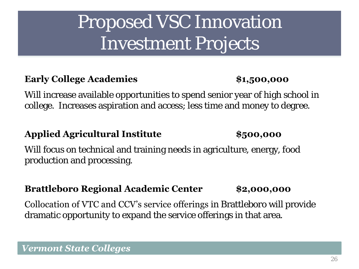#### Proposed VSC Innovation Investment Projects

#### **Early College Academies \$1,500,000**

*Vermont State Colleges* 

Will increase available opportunities to spend senior year of high school in college. Increases aspiration and access; less time and money to degree.

#### **Applied Agricultural Institute \$500,000**

Will focus on technical and training needs in agriculture, energy, food production and processing.

#### **Brattleboro Regional Academic Center \$2,000,000**

Collocation of VTC and CCV's service offerings in Brattleboro will provide dramatic opportunity to expand the service offerings in that area.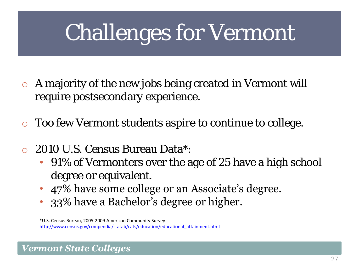## Challenges for Vermont

- o A majority of the new jobs being created in Vermont will require postsecondary experience.
- Too few Vermont students aspire to continue to college.
- 2010 U.S. Census Bureau Data\*:
	- 91% of Vermonters over the age of 25 have a high school degree or equivalent.
	- 47% have some college or an Associate's degree.
	- 33% have a Bachelor's degree or higher.

\*U.S. Census Bureau, 2005-2009 American Community Survey [http://www.census.gov/compendia/statab/cats/education/educational\\_attainment.html](http://www.census.gov/compendia/statab/cats/education/educational_attainment.html)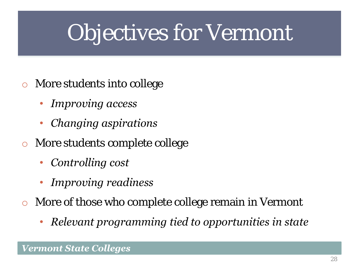## Objectives for Vermont

- o More students into college
	- *Improving access*
	- *Changing aspirations*
- o More students complete college
	- *Controlling cost*
	- *Improving readiness*
- o More of those who complete college remain in Vermont
	- *Relevant programming tied to opportunities in state*